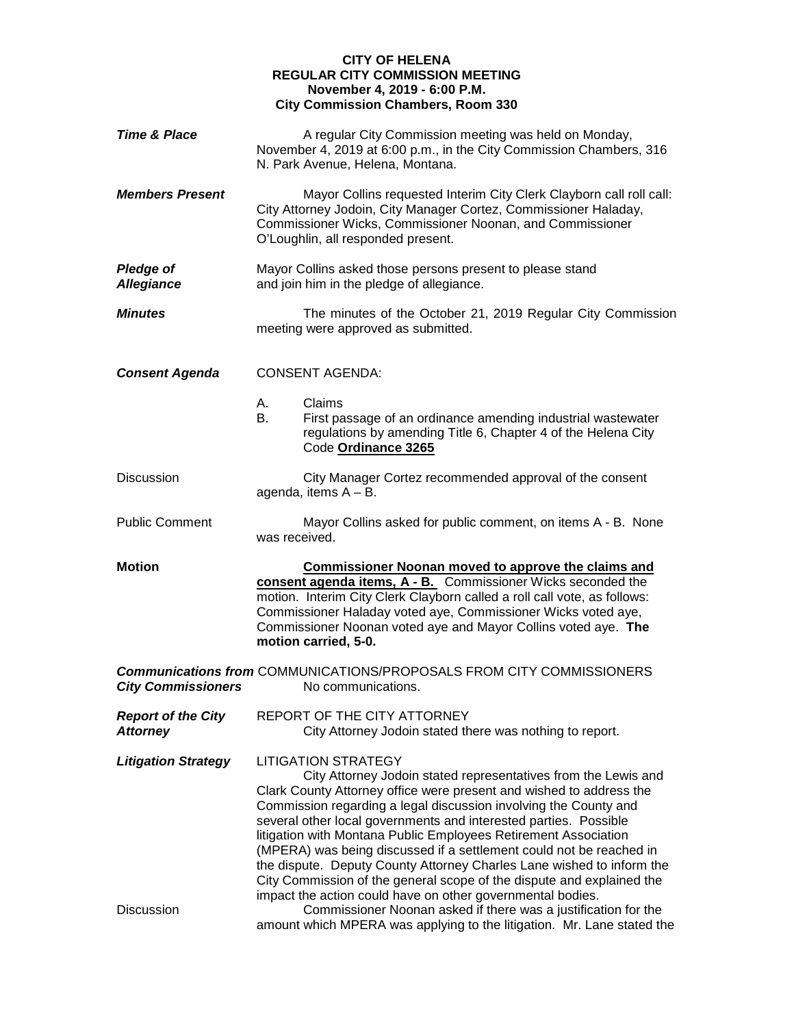## **CITY OF HELENA REGULAR CITY COMMISSION MEETING November 4, 2019 - 6:00 P.M. City Commission Chambers, Room 330**

| <b>Time &amp; Place</b>                      |                                                                                                                                                                                                                                                                                                                                                                   | A regular City Commission meeting was held on Monday,<br>November 4, 2019 at 6:00 p.m., in the City Commission Chambers, 316<br>N. Park Avenue, Helena, Montana.                                                                                                                                                                                                                                                                                                                                                                                                                                                                                                      |  |
|----------------------------------------------|-------------------------------------------------------------------------------------------------------------------------------------------------------------------------------------------------------------------------------------------------------------------------------------------------------------------------------------------------------------------|-----------------------------------------------------------------------------------------------------------------------------------------------------------------------------------------------------------------------------------------------------------------------------------------------------------------------------------------------------------------------------------------------------------------------------------------------------------------------------------------------------------------------------------------------------------------------------------------------------------------------------------------------------------------------|--|
| <b>Members Present</b>                       | Mayor Collins requested Interim City Clerk Clayborn call roll call:<br>City Attorney Jodoin, City Manager Cortez, Commissioner Haladay,<br>Commissioner Wicks, Commissioner Noonan, and Commissioner<br>O'Loughlin, all responded present.                                                                                                                        |                                                                                                                                                                                                                                                                                                                                                                                                                                                                                                                                                                                                                                                                       |  |
| <b>Pledge of</b><br><b>Allegiance</b>        | Mayor Collins asked those persons present to please stand<br>and join him in the pledge of allegiance.                                                                                                                                                                                                                                                            |                                                                                                                                                                                                                                                                                                                                                                                                                                                                                                                                                                                                                                                                       |  |
| <b>Minutes</b>                               |                                                                                                                                                                                                                                                                                                                                                                   | The minutes of the October 21, 2019 Regular City Commission<br>meeting were approved as submitted.                                                                                                                                                                                                                                                                                                                                                                                                                                                                                                                                                                    |  |
| <b>Consent Agenda</b>                        | <b>CONSENT AGENDA:</b>                                                                                                                                                                                                                                                                                                                                            |                                                                                                                                                                                                                                                                                                                                                                                                                                                                                                                                                                                                                                                                       |  |
|                                              | А.<br>В.                                                                                                                                                                                                                                                                                                                                                          | Claims<br>First passage of an ordinance amending industrial wastewater<br>regulations by amending Title 6, Chapter 4 of the Helena City<br>Code Ordinance 3265                                                                                                                                                                                                                                                                                                                                                                                                                                                                                                        |  |
| <b>Discussion</b>                            |                                                                                                                                                                                                                                                                                                                                                                   | City Manager Cortez recommended approval of the consent<br>agenda, items $A - B$ .                                                                                                                                                                                                                                                                                                                                                                                                                                                                                                                                                                                    |  |
| <b>Public Comment</b>                        | Mayor Collins asked for public comment, on items A - B. None<br>was received.                                                                                                                                                                                                                                                                                     |                                                                                                                                                                                                                                                                                                                                                                                                                                                                                                                                                                                                                                                                       |  |
| <b>Motion</b>                                | <b>Commissioner Noonan moved to approve the claims and</b><br>consent agenda items, A - B. Commissioner Wicks seconded the<br>motion. Interim City Clerk Clayborn called a roll call vote, as follows:<br>Commissioner Haladay voted aye, Commissioner Wicks voted aye,<br>Commissioner Noonan voted aye and Mayor Collins voted aye. The<br>motion carried, 5-0. |                                                                                                                                                                                                                                                                                                                                                                                                                                                                                                                                                                                                                                                                       |  |
| <b>City Commissioners</b>                    |                                                                                                                                                                                                                                                                                                                                                                   | <b>Communications from COMMUNICATIONS/PROPOSALS FROM CITY COMMISSIONERS</b><br>No communications.                                                                                                                                                                                                                                                                                                                                                                                                                                                                                                                                                                     |  |
| <b>Report of the City</b><br><b>Attorney</b> |                                                                                                                                                                                                                                                                                                                                                                   | REPORT OF THE CITY ATTORNEY<br>City Attorney Jodoin stated there was nothing to report.                                                                                                                                                                                                                                                                                                                                                                                                                                                                                                                                                                               |  |
| <b>Litigation Strategy</b>                   |                                                                                                                                                                                                                                                                                                                                                                   | <b>LITIGATION STRATEGY</b><br>City Attorney Jodoin stated representatives from the Lewis and<br>Clark County Attorney office were present and wished to address the<br>Commission regarding a legal discussion involving the County and<br>several other local governments and interested parties. Possible<br>litigation with Montana Public Employees Retirement Association<br>(MPERA) was being discussed if a settlement could not be reached in<br>the dispute. Deputy County Attorney Charles Lane wished to inform the<br>City Commission of the general scope of the dispute and explained the<br>impact the action could have on other governmental bodies. |  |
| <b>Discussion</b>                            |                                                                                                                                                                                                                                                                                                                                                                   | Commissioner Noonan asked if there was a justification for the<br>amount which MPERA was applying to the litigation. Mr. Lane stated the                                                                                                                                                                                                                                                                                                                                                                                                                                                                                                                              |  |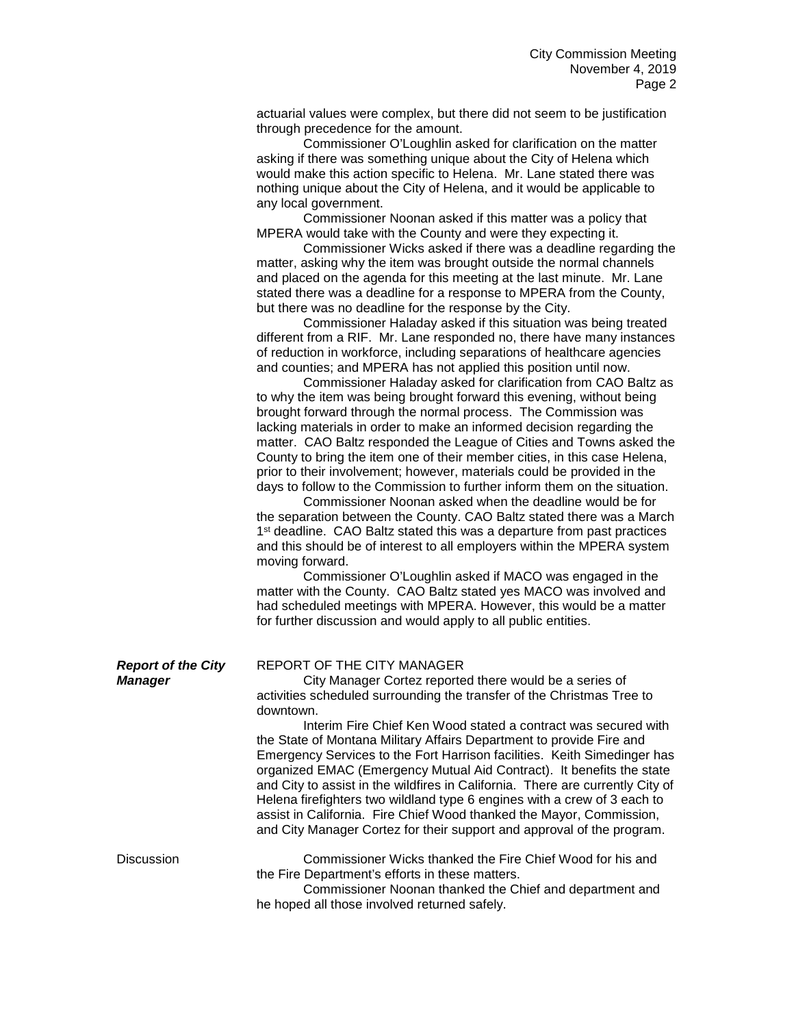actuarial values were complex, but there did not seem to be justification through precedence for the amount.

Commissioner O'Loughlin asked for clarification on the matter asking if there was something unique about the City of Helena which would make this action specific to Helena. Mr. Lane stated there was nothing unique about the City of Helena, and it would be applicable to any local government.

Commissioner Noonan asked if this matter was a policy that MPERA would take with the County and were they expecting it.

Commissioner Wicks asked if there was a deadline regarding the matter, asking why the item was brought outside the normal channels and placed on the agenda for this meeting at the last minute. Mr. Lane stated there was a deadline for a response to MPERA from the County, but there was no deadline for the response by the City.

Commissioner Haladay asked if this situation was being treated different from a RIF. Mr. Lane responded no, there have many instances of reduction in workforce, including separations of healthcare agencies and counties; and MPERA has not applied this position until now.

Commissioner Haladay asked for clarification from CAO Baltz as to why the item was being brought forward this evening, without being brought forward through the normal process. The Commission was lacking materials in order to make an informed decision regarding the matter. CAO Baltz responded the League of Cities and Towns asked the County to bring the item one of their member cities, in this case Helena, prior to their involvement; however, materials could be provided in the days to follow to the Commission to further inform them on the situation.

Commissioner Noonan asked when the deadline would be for the separation between the County. CAO Baltz stated there was a March 1<sup>st</sup> deadline. CAO Baltz stated this was a departure from past practices and this should be of interest to all employers within the MPERA system moving forward.

Commissioner O'Loughlin asked if MACO was engaged in the matter with the County. CAO Baltz stated yes MACO was involved and had scheduled meetings with MPERA. However, this would be a matter for further discussion and would apply to all public entities.

**Report of the City** REPORT OF THE CITY MANAGER<br>**Manager** Cortez reporte

*Manager* City Manager Cortez reported there would be a series of activities scheduled surrounding the transfer of the Christmas Tree to downtown.

Interim Fire Chief Ken Wood stated a contract was secured with the State of Montana Military Affairs Department to provide Fire and Emergency Services to the Fort Harrison facilities. Keith Simedinger has organized EMAC (Emergency Mutual Aid Contract). It benefits the state and City to assist in the wildfires in California. There are currently City of Helena firefighters two wildland type 6 engines with a crew of 3 each to assist in California. Fire Chief Wood thanked the Mayor, Commission, and City Manager Cortez for their support and approval of the program.

Discussion Commissioner Wicks thanked the Fire Chief Wood for his and the Fire Department's efforts in these matters.

> Commissioner Noonan thanked the Chief and department and he hoped all those involved returned safely.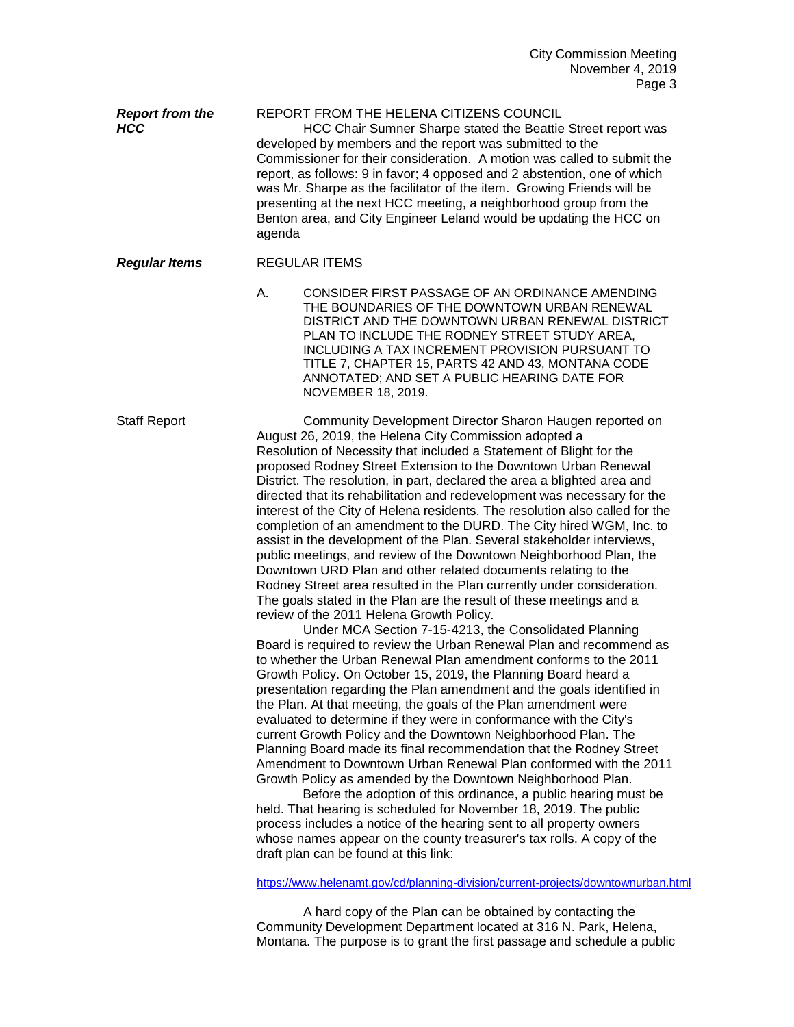**Report from the BEPORT FROM THE HELENA CITIZENS COUNCIL**<br>HCC Chair Sumner Sharpe stated the Beattie

HCC Chair Sumner Sharpe stated the Beattie Street report was developed by members and the report was submitted to the Commissioner for their consideration. A motion was called to submit the report, as follows: 9 in favor; 4 opposed and 2 abstention, one of which was Mr. Sharpe as the facilitator of the item. Growing Friends will be presenting at the next HCC meeting, a neighborhood group from the Benton area, and City Engineer Leland would be updating the HCC on agenda

## *Regular Items* REGULAR ITEMS

A. CONSIDER FIRST PASSAGE OF AN ORDINANCE AMENDING THE BOUNDARIES OF THE DOWNTOWN URBAN RENEWAL DISTRICT AND THE DOWNTOWN URBAN RENEWAL DISTRICT PLAN TO INCLUDE THE RODNEY STREET STUDY AREA, INCLUDING A TAX INCREMENT PROVISION PURSUANT TO TITLE 7, CHAPTER 15, PARTS 42 AND 43, MONTANA CODE ANNOTATED; AND SET A PUBLIC HEARING DATE FOR NOVEMBER 18, 2019.

Staff Report Community Development Director Sharon Haugen reported on August 26, 2019, the Helena City Commission adopted a Resolution of Necessity that included a Statement of Blight for the proposed Rodney Street Extension to the Downtown Urban Renewal District. The resolution, in part, declared the area a blighted area and directed that its rehabilitation and redevelopment was necessary for the interest of the City of Helena residents. The resolution also called for the completion of an amendment to the DURD. The City hired WGM, Inc. to assist in the development of the Plan. Several stakeholder interviews, public meetings, and review of the Downtown Neighborhood Plan, the Downtown URD Plan and other related documents relating to the Rodney Street area resulted in the Plan currently under consideration. The goals stated in the Plan are the result of these meetings and a review of the 2011 Helena Growth Policy.

Under MCA Section 7-15-4213, the Consolidated Planning Board is required to review the Urban Renewal Plan and recommend as to whether the Urban Renewal Plan amendment conforms to the 2011 Growth Policy. On October 15, 2019, the Planning Board heard a presentation regarding the Plan amendment and the goals identified in the Plan. At that meeting, the goals of the Plan amendment were evaluated to determine if they were in conformance with the City's current Growth Policy and the Downtown Neighborhood Plan. The Planning Board made its final recommendation that the Rodney Street Amendment to Downtown Urban Renewal Plan conformed with the 2011 Growth Policy as amended by the Downtown Neighborhood Plan.

Before the adoption of this ordinance, a public hearing must be held. That hearing is scheduled for November 18, 2019. The public process includes a notice of the hearing sent to all property owners whose names appear on the county treasurer's tax rolls. A copy of the draft plan can be found at this link:

<https://www.helenamt.gov/cd/planning-division/current-projects/downtownurban.html>

A hard copy of the Plan can be obtained by contacting the Community Development Department located at 316 N. Park, Helena, Montana. The purpose is to grant the first passage and schedule a public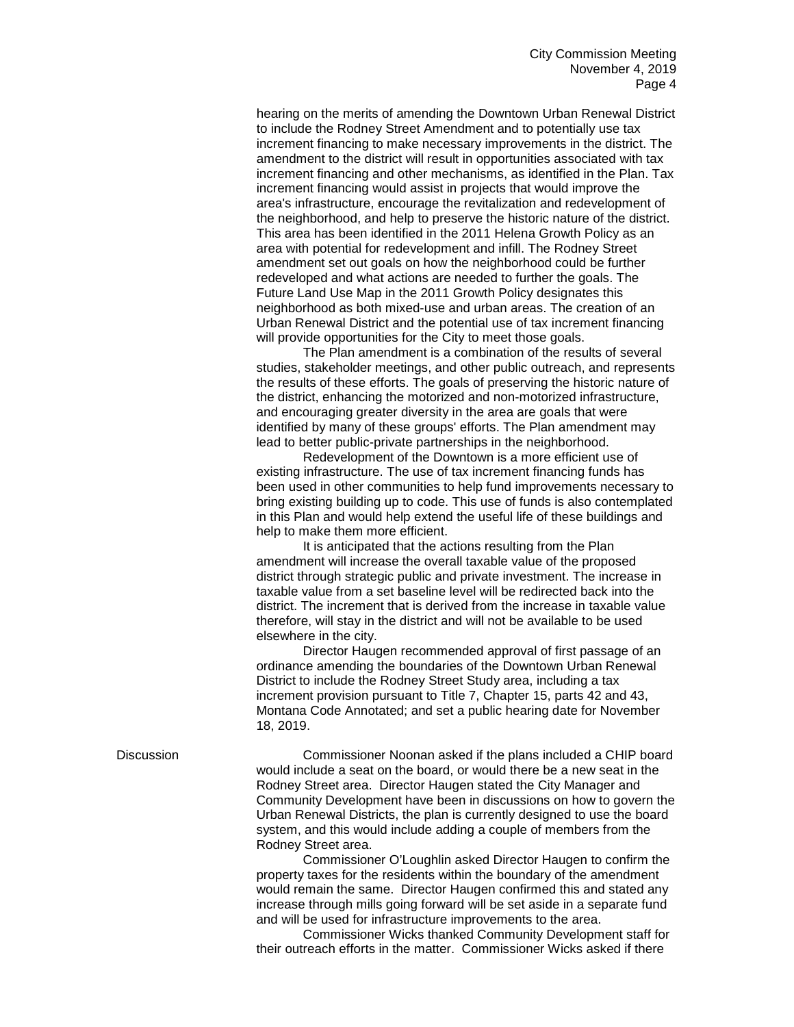hearing on the merits of amending the Downtown Urban Renewal District to include the Rodney Street Amendment and to potentially use tax increment financing to make necessary improvements in the district. The amendment to the district will result in opportunities associated with tax increment financing and other mechanisms, as identified in the Plan. Tax increment financing would assist in projects that would improve the area's infrastructure, encourage the revitalization and redevelopment of the neighborhood, and help to preserve the historic nature of the district. This area has been identified in the 2011 Helena Growth Policy as an area with potential for redevelopment and infill. The Rodney Street amendment set out goals on how the neighborhood could be further redeveloped and what actions are needed to further the goals. The Future Land Use Map in the 2011 Growth Policy designates this neighborhood as both mixed-use and urban areas. The creation of an Urban Renewal District and the potential use of tax increment financing will provide opportunities for the City to meet those goals.

The Plan amendment is a combination of the results of several studies, stakeholder meetings, and other public outreach, and represents the results of these efforts. The goals of preserving the historic nature of the district, enhancing the motorized and non-motorized infrastructure, and encouraging greater diversity in the area are goals that were identified by many of these groups' efforts. The Plan amendment may lead to better public-private partnerships in the neighborhood.

Redevelopment of the Downtown is a more efficient use of existing infrastructure. The use of tax increment financing funds has been used in other communities to help fund improvements necessary to bring existing building up to code. This use of funds is also contemplated in this Plan and would help extend the useful life of these buildings and help to make them more efficient.

It is anticipated that the actions resulting from the Plan amendment will increase the overall taxable value of the proposed district through strategic public and private investment. The increase in taxable value from a set baseline level will be redirected back into the district. The increment that is derived from the increase in taxable value therefore, will stay in the district and will not be available to be used elsewhere in the city.

Director Haugen recommended approval of first passage of an ordinance amending the boundaries of the Downtown Urban Renewal District to include the Rodney Street Study area, including a tax increment provision pursuant to Title 7, Chapter 15, parts 42 and 43, Montana Code Annotated; and set a public hearing date for November 18, 2019.

Discussion Commissioner Noonan asked if the plans included a CHIP board would include a seat on the board, or would there be a new seat in the Rodney Street area. Director Haugen stated the City Manager and Community Development have been in discussions on how to govern the Urban Renewal Districts, the plan is currently designed to use the board system, and this would include adding a couple of members from the Rodney Street area.

> Commissioner O'Loughlin asked Director Haugen to confirm the property taxes for the residents within the boundary of the amendment would remain the same. Director Haugen confirmed this and stated any increase through mills going forward will be set aside in a separate fund and will be used for infrastructure improvements to the area.

> Commissioner Wicks thanked Community Development staff for their outreach efforts in the matter. Commissioner Wicks asked if there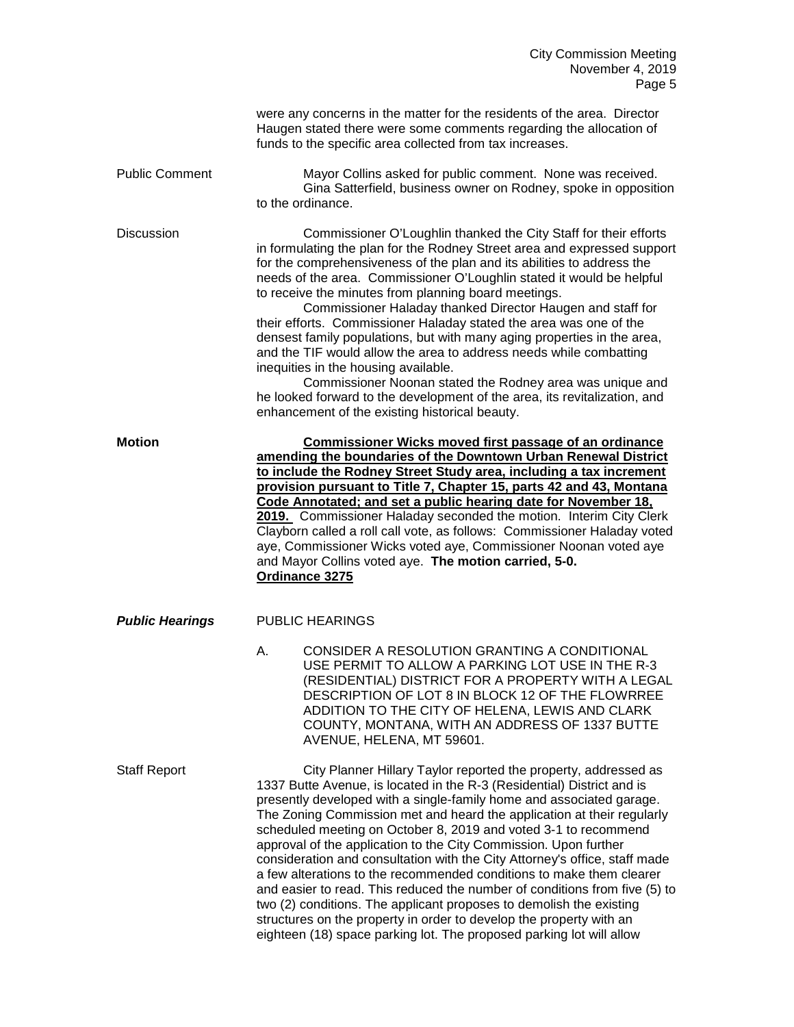|                        | were any concerns in the matter for the residents of the area. Director<br>Haugen stated there were some comments regarding the allocation of<br>funds to the specific area collected from tax increases.                                                                                                                                                                                                                                                                                                                                                                                                                                                                                                                                                                                                                                                                        |
|------------------------|----------------------------------------------------------------------------------------------------------------------------------------------------------------------------------------------------------------------------------------------------------------------------------------------------------------------------------------------------------------------------------------------------------------------------------------------------------------------------------------------------------------------------------------------------------------------------------------------------------------------------------------------------------------------------------------------------------------------------------------------------------------------------------------------------------------------------------------------------------------------------------|
| <b>Public Comment</b>  | Mayor Collins asked for public comment. None was received.<br>Gina Satterfield, business owner on Rodney, spoke in opposition<br>to the ordinance.                                                                                                                                                                                                                                                                                                                                                                                                                                                                                                                                                                                                                                                                                                                               |
| <b>Discussion</b>      | Commissioner O'Loughlin thanked the City Staff for their efforts<br>in formulating the plan for the Rodney Street area and expressed support<br>for the comprehensiveness of the plan and its abilities to address the<br>needs of the area. Commissioner O'Loughlin stated it would be helpful<br>to receive the minutes from planning board meetings.<br>Commissioner Haladay thanked Director Haugen and staff for<br>their efforts. Commissioner Haladay stated the area was one of the<br>densest family populations, but with many aging properties in the area,<br>and the TIF would allow the area to address needs while combatting<br>inequities in the housing available.<br>Commissioner Noonan stated the Rodney area was unique and<br>he looked forward to the development of the area, its revitalization, and<br>enhancement of the existing historical beauty. |
| <b>Motion</b>          | <b>Commissioner Wicks moved first passage of an ordinance</b><br>amending the boundaries of the Downtown Urban Renewal District<br>to include the Rodney Street Study area, including a tax increment<br>provision pursuant to Title 7, Chapter 15, parts 42 and 43, Montana<br>Code Annotated; and set a public hearing date for November 18,<br>2019. Commissioner Haladay seconded the motion. Interim City Clerk<br>Clayborn called a roll call vote, as follows: Commissioner Haladay voted<br>aye, Commissioner Wicks voted aye, Commissioner Noonan voted aye<br>and Mayor Collins voted aye. The motion carried, 5-0.<br>Ordinance 3275                                                                                                                                                                                                                                  |
| <b>Public Hearings</b> | <b>PUBLIC HEARINGS</b><br>Α.<br>CONSIDER A RESOLUTION GRANTING A CONDITIONAL                                                                                                                                                                                                                                                                                                                                                                                                                                                                                                                                                                                                                                                                                                                                                                                                     |
|                        | USE PERMIT TO ALLOW A PARKING LOT USE IN THE R-3<br>(RESIDENTIAL) DISTRICT FOR A PROPERTY WITH A LEGAL<br>DESCRIPTION OF LOT 8 IN BLOCK 12 OF THE FLOWRREE<br>ADDITION TO THE CITY OF HELENA, LEWIS AND CLARK<br>COUNTY, MONTANA, WITH AN ADDRESS OF 1337 BUTTE<br>AVENUE, HELENA, MT 59601.                                                                                                                                                                                                                                                                                                                                                                                                                                                                                                                                                                                     |
| <b>Staff Report</b>    | City Planner Hillary Taylor reported the property, addressed as<br>1337 Butte Avenue, is located in the R-3 (Residential) District and is<br>presently developed with a single-family home and associated garage.<br>The Zoning Commission met and heard the application at their regularly<br>scheduled meeting on October 8, 2019 and voted 3-1 to recommend<br>approval of the application to the City Commission. Upon further<br>consideration and consultation with the City Attorney's office, staff made<br>a few alterations to the recommended conditions to make them clearer<br>and easier to read. This reduced the number of conditions from five (5) to<br>two (2) conditions. The applicant proposes to demolish the existing<br>structures on the property in order to develop the property with an                                                             |

eighteen (18) space parking lot. The proposed parking lot will allow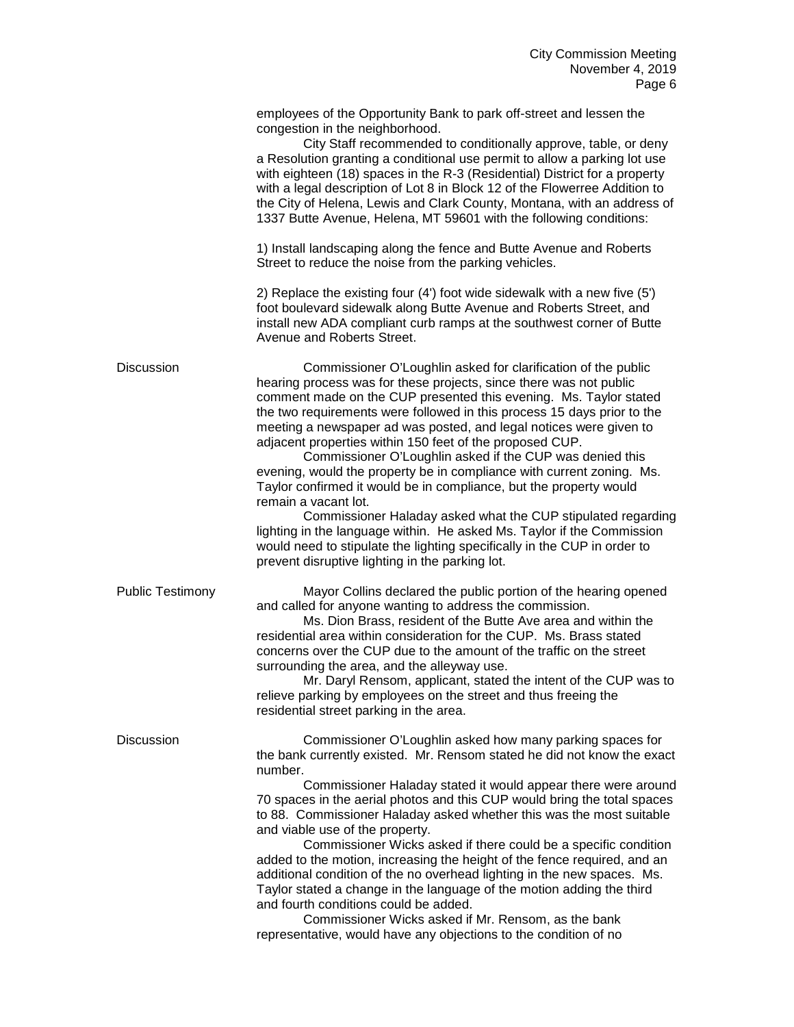|                         | employees of the Opportunity Bank to park off-street and lessen the<br>congestion in the neighborhood.<br>City Staff recommended to conditionally approve, table, or deny<br>a Resolution granting a conditional use permit to allow a parking lot use<br>with eighteen (18) spaces in the R-3 (Residential) District for a property<br>with a legal description of Lot 8 in Block 12 of the Flowerree Addition to<br>the City of Helena, Lewis and Clark County, Montana, with an address of<br>1337 Butte Avenue, Helena, MT 59601 with the following conditions:                                                                                                                                                                                                                                                                                                                                                               |
|-------------------------|-----------------------------------------------------------------------------------------------------------------------------------------------------------------------------------------------------------------------------------------------------------------------------------------------------------------------------------------------------------------------------------------------------------------------------------------------------------------------------------------------------------------------------------------------------------------------------------------------------------------------------------------------------------------------------------------------------------------------------------------------------------------------------------------------------------------------------------------------------------------------------------------------------------------------------------|
|                         | 1) Install landscaping along the fence and Butte Avenue and Roberts<br>Street to reduce the noise from the parking vehicles.                                                                                                                                                                                                                                                                                                                                                                                                                                                                                                                                                                                                                                                                                                                                                                                                      |
|                         | 2) Replace the existing four (4') foot wide sidewalk with a new five (5')<br>foot boulevard sidewalk along Butte Avenue and Roberts Street, and<br>install new ADA compliant curb ramps at the southwest corner of Butte<br>Avenue and Roberts Street.                                                                                                                                                                                                                                                                                                                                                                                                                                                                                                                                                                                                                                                                            |
| <b>Discussion</b>       | Commissioner O'Loughlin asked for clarification of the public<br>hearing process was for these projects, since there was not public<br>comment made on the CUP presented this evening. Ms. Taylor stated<br>the two requirements were followed in this process 15 days prior to the<br>meeting a newspaper ad was posted, and legal notices were given to<br>adjacent properties within 150 feet of the proposed CUP.<br>Commissioner O'Loughlin asked if the CUP was denied this<br>evening, would the property be in compliance with current zoning. Ms.<br>Taylor confirmed it would be in compliance, but the property would<br>remain a vacant lot.<br>Commissioner Haladay asked what the CUP stipulated regarding<br>lighting in the language within. He asked Ms. Taylor if the Commission<br>would need to stipulate the lighting specifically in the CUP in order to<br>prevent disruptive lighting in the parking lot. |
| <b>Public Testimony</b> | Mayor Collins declared the public portion of the hearing opened<br>and called for anyone wanting to address the commission.<br>Ms. Dion Brass, resident of the Butte Ave area and within the<br>residential area within consideration for the CUP. Ms. Brass stated<br>concerns over the CUP due to the amount of the traffic on the street<br>surrounding the area, and the alleyway use.<br>Mr. Daryl Rensom, applicant, stated the intent of the CUP was to<br>relieve parking by employees on the street and thus freeing the<br>residential street parking in the area.                                                                                                                                                                                                                                                                                                                                                      |
| Discussion              | Commissioner O'Loughlin asked how many parking spaces for<br>the bank currently existed. Mr. Rensom stated he did not know the exact<br>number.<br>Commissioner Haladay stated it would appear there were around<br>70 spaces in the aerial photos and this CUP would bring the total spaces<br>to 88. Commissioner Haladay asked whether this was the most suitable<br>and viable use of the property.<br>Commissioner Wicks asked if there could be a specific condition<br>added to the motion, increasing the height of the fence required, and an<br>additional condition of the no overhead lighting in the new spaces. Ms.<br>Taylor stated a change in the language of the motion adding the third<br>and fourth conditions could be added.<br>Commissioner Wicks asked if Mr. Rensom, as the bank<br>representative, would have any objections to the condition of no                                                    |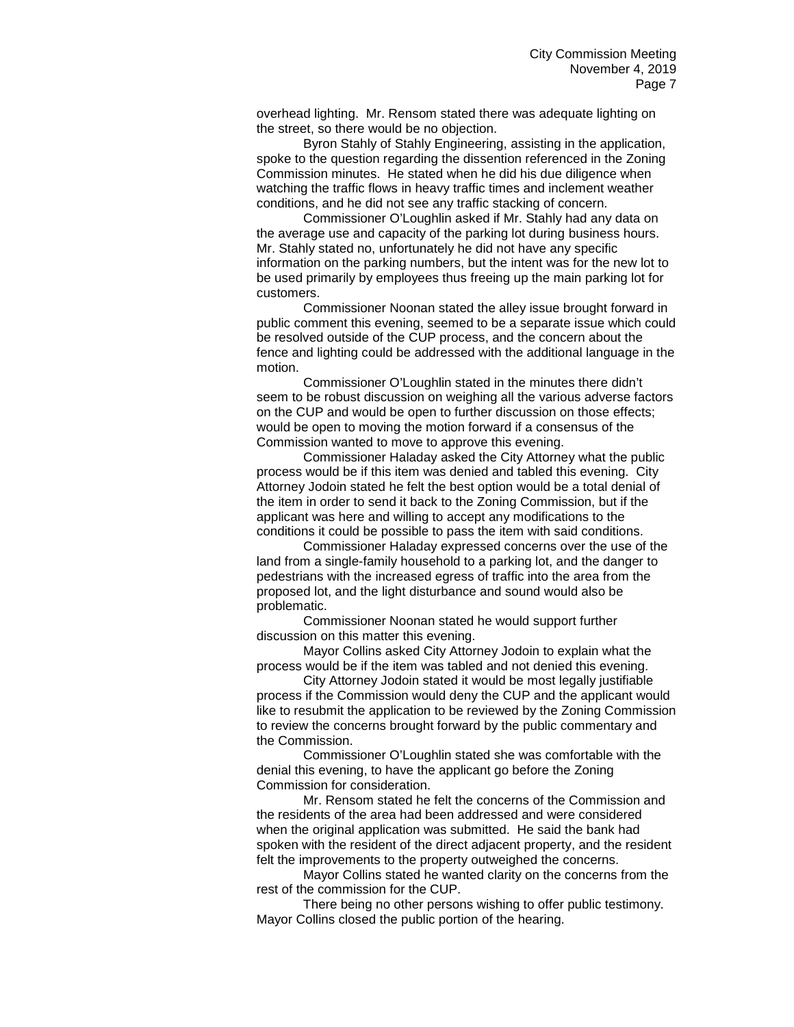overhead lighting. Mr. Rensom stated there was adequate lighting on the street, so there would be no objection.

Byron Stahly of Stahly Engineering, assisting in the application, spoke to the question regarding the dissention referenced in the Zoning Commission minutes. He stated when he did his due diligence when watching the traffic flows in heavy traffic times and inclement weather conditions, and he did not see any traffic stacking of concern.

Commissioner O'Loughlin asked if Mr. Stahly had any data on the average use and capacity of the parking lot during business hours. Mr. Stahly stated no, unfortunately he did not have any specific information on the parking numbers, but the intent was for the new lot to be used primarily by employees thus freeing up the main parking lot for customers.

Commissioner Noonan stated the alley issue brought forward in public comment this evening, seemed to be a separate issue which could be resolved outside of the CUP process, and the concern about the fence and lighting could be addressed with the additional language in the motion.

Commissioner O'Loughlin stated in the minutes there didn't seem to be robust discussion on weighing all the various adverse factors on the CUP and would be open to further discussion on those effects; would be open to moving the motion forward if a consensus of the Commission wanted to move to approve this evening.

Commissioner Haladay asked the City Attorney what the public process would be if this item was denied and tabled this evening. City Attorney Jodoin stated he felt the best option would be a total denial of the item in order to send it back to the Zoning Commission, but if the applicant was here and willing to accept any modifications to the conditions it could be possible to pass the item with said conditions.

Commissioner Haladay expressed concerns over the use of the land from a single-family household to a parking lot, and the danger to pedestrians with the increased egress of traffic into the area from the proposed lot, and the light disturbance and sound would also be problematic.

Commissioner Noonan stated he would support further discussion on this matter this evening.

Mayor Collins asked City Attorney Jodoin to explain what the process would be if the item was tabled and not denied this evening.

City Attorney Jodoin stated it would be most legally justifiable process if the Commission would deny the CUP and the applicant would like to resubmit the application to be reviewed by the Zoning Commission to review the concerns brought forward by the public commentary and the Commission.

Commissioner O'Loughlin stated she was comfortable with the denial this evening, to have the applicant go before the Zoning Commission for consideration.

Mr. Rensom stated he felt the concerns of the Commission and the residents of the area had been addressed and were considered when the original application was submitted. He said the bank had spoken with the resident of the direct adjacent property, and the resident felt the improvements to the property outweighed the concerns.

Mayor Collins stated he wanted clarity on the concerns from the rest of the commission for the CUP.

There being no other persons wishing to offer public testimony. Mayor Collins closed the public portion of the hearing.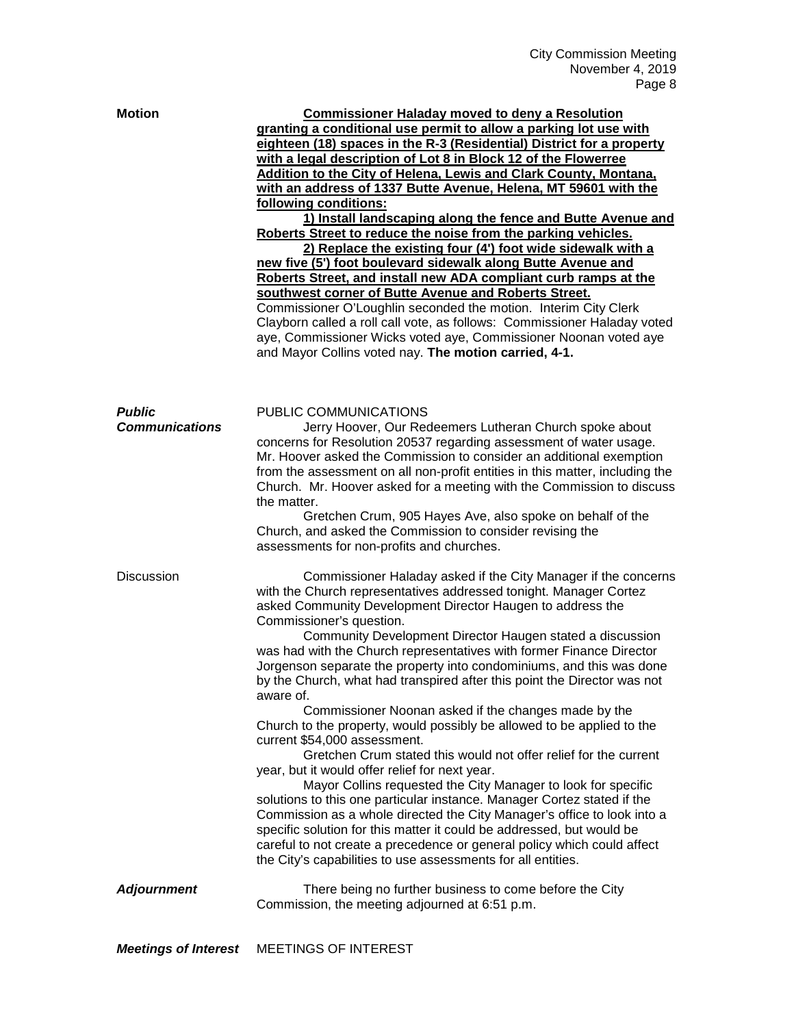| <b>Motion</b>                          | <b>Commissioner Haladay moved to deny a Resolution</b><br>granting a conditional use permit to allow a parking lot use with<br>eighteen (18) spaces in the R-3 (Residential) District for a property<br>with a legal description of Lot 8 in Block 12 of the Flowerree<br>Addition to the City of Helena, Lewis and Clark County, Montana,<br>with an address of 1337 Butte Avenue, Helena, MT 59601 with the<br>following conditions:<br>1) Install landscaping along the fence and Butte Avenue and<br>Roberts Street to reduce the noise from the parking vehicles.<br>2) Replace the existing four (4') foot wide sidewalk with a<br>new five (5') foot boulevard sidewalk along Butte Avenue and<br>Roberts Street, and install new ADA compliant curb ramps at the<br>southwest corner of Butte Avenue and Roberts Street.<br>Commissioner O'Loughlin seconded the motion. Interim City Clerk<br>Clayborn called a roll call vote, as follows: Commissioner Haladay voted<br>aye, Commissioner Wicks voted aye, Commissioner Noonan voted aye<br>and Mayor Collins voted nay. The motion carried, 4-1.                                                                                                                                                           |
|----------------------------------------|------------------------------------------------------------------------------------------------------------------------------------------------------------------------------------------------------------------------------------------------------------------------------------------------------------------------------------------------------------------------------------------------------------------------------------------------------------------------------------------------------------------------------------------------------------------------------------------------------------------------------------------------------------------------------------------------------------------------------------------------------------------------------------------------------------------------------------------------------------------------------------------------------------------------------------------------------------------------------------------------------------------------------------------------------------------------------------------------------------------------------------------------------------------------------------------------------------------------------------------------------------------------|
| <b>Public</b><br><b>Communications</b> | PUBLIC COMMUNICATIONS<br>Jerry Hoover, Our Redeemers Lutheran Church spoke about<br>concerns for Resolution 20537 regarding assessment of water usage.<br>Mr. Hoover asked the Commission to consider an additional exemption<br>from the assessment on all non-profit entities in this matter, including the<br>Church. Mr. Hoover asked for a meeting with the Commission to discuss<br>the matter.<br>Gretchen Crum, 905 Hayes Ave, also spoke on behalf of the<br>Church, and asked the Commission to consider revising the<br>assessments for non-profits and churches.                                                                                                                                                                                                                                                                                                                                                                                                                                                                                                                                                                                                                                                                                           |
| <b>Discussion</b>                      | Commissioner Haladay asked if the City Manager if the concerns<br>with the Church representatives addressed tonight. Manager Cortez<br>asked Community Development Director Haugen to address the<br>Commissioner's question.<br>Community Development Director Haugen stated a discussion<br>was had with the Church representatives with former Finance Director<br>Jorgenson separate the property into condominiums, and this was done<br>by the Church, what had transpired after this point the Director was not<br>aware of.<br>Commissioner Noonan asked if the changes made by the<br>Church to the property, would possibly be allowed to be applied to the<br>current \$54,000 assessment.<br>Gretchen Crum stated this would not offer relief for the current<br>year, but it would offer relief for next year.<br>Mayor Collins requested the City Manager to look for specific<br>solutions to this one particular instance. Manager Cortez stated if the<br>Commission as a whole directed the City Manager's office to look into a<br>specific solution for this matter it could be addressed, but would be<br>careful to not create a precedence or general policy which could affect<br>the City's capabilities to use assessments for all entities. |
| <b>Adjournment</b>                     | There being no further business to come before the City<br>Commission, the meeting adjourned at 6:51 p.m.                                                                                                                                                                                                                                                                                                                                                                                                                                                                                                                                                                                                                                                                                                                                                                                                                                                                                                                                                                                                                                                                                                                                                              |